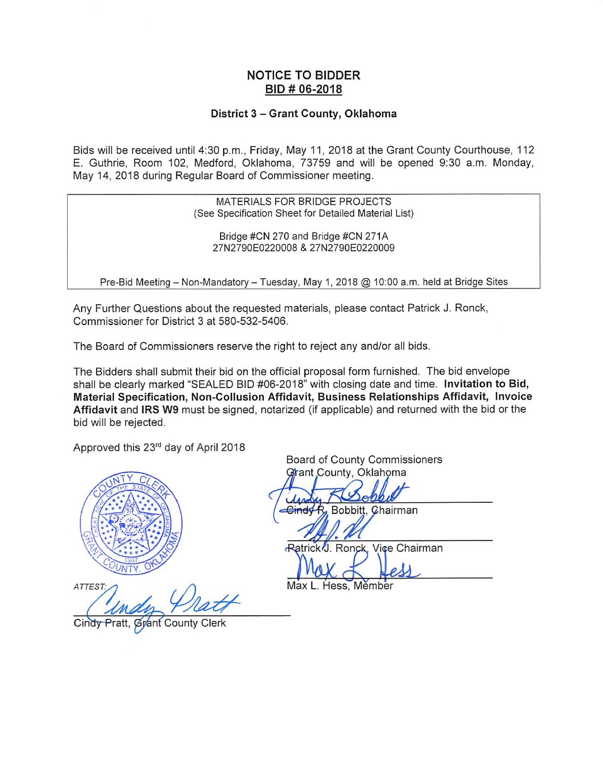#### **NOTICE TO BIDDER** BID # 06-2018

#### District 3 - Grant County, Oklahoma

Bids will be received until 4:30 p.m., Friday, May 11, 2018 at the Grant County Courthouse, 112 E. Guthrie, Room 102, Medford, Oklahoma, 73759 and will be opened 9:30 a.m. Monday, May 14, 2018 during Regular Board of Commissioner meeting.

> MATERIALS FOR BRIDGE PROJECTS (See Specification Sheet for Detailed Material List)

Bridge #CN 270 and Bridge #CN 271A 27N2790E0220008 & 27N2790E0220009

Pre-Bid Meeting - Non-Mandatory - Tuesday, May 1, 2018 @ 10:00 a.m. held at Bridge Sites

Any Further Questions about the requested materials, please contact Patrick J. Ronck, Commissioner for District 3 at 580-532-5406.

The Board of Commissioners reserve the right to reject any and/or all bids.

The Bidders shall submit their bid on the official proposal form furnished. The bid envelope shall be clearly marked "SEALED BID #06-2018" with closing date and time. Invitation to Bid, Material Specification, Non-Collusion Affidavit, Business Relationships Affidavit, Invoice Affidavit and IRS W9 must be signed, notarized (if applicable) and returned with the bid or the bid will be rejected.

Approved this 23rd day of April 2018



ATTEST:

Cindy County Board of County Commissioners Grant County, Oklahoma

Bobbitt. Chairman  $GindVR$ 

Ratrick J. Ronck, Vice Chairman

Max L. Hess, Member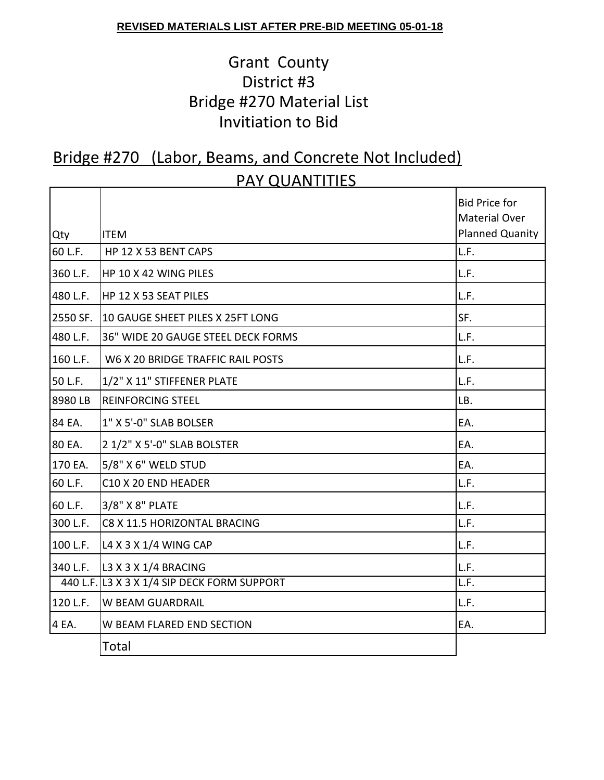#### **REVISED MATERIALS LIST AFTER PRE-BID MEETING 05-01-18**

## Grant County District #3 Bridge #270 Material List Invitiation to Bid

#### Bridge #270 (Labor, Beams, and Concrete Not Included) PAY QUANTITIES

| Qty      | <b>ITEM</b>                                 | <b>Bid Price for</b><br><b>Material Over</b><br><b>Planned Quanity</b> |
|----------|---------------------------------------------|------------------------------------------------------------------------|
| 60 L.F.  | HP 12 X 53 BENT CAPS                        | L.F.                                                                   |
| 360 L.F. | HP 10 X 42 WING PILES                       | L.F.                                                                   |
| 480 L.F. | HP 12 X 53 SEAT PILES                       | L.F.                                                                   |
| 2550 SF. | 10 GAUGE SHEET PILES X 25FT LONG            | SF.                                                                    |
| 480 L.F. | 36" WIDE 20 GAUGE STEEL DECK FORMS          | L.F.                                                                   |
| 160 L.F. | W6 X 20 BRIDGE TRAFFIC RAIL POSTS           | L.F.                                                                   |
| 50 L.F.  | 1/2" X 11" STIFFENER PLATE                  | L.F.                                                                   |
| 8980 LB  | <b>REINFORCING STEEL</b>                    | LB.                                                                    |
| 84 EA.   | 1" X 5'-0" SLAB BOLSER                      | EA.                                                                    |
| 80 EA.   | 2 1/2" X 5'-0" SLAB BOLSTER                 | EA.                                                                    |
| 170 EA.  | 5/8" X 6" WELD STUD                         | EA.                                                                    |
| 60 L.F.  | C10 X 20 END HEADER                         | L.F.                                                                   |
| 60 L.F.  | 3/8" X 8" PLATE                             | L.F.                                                                   |
| 300 L.F. | C8 X 11.5 HORIZONTAL BRACING                | L.F.                                                                   |
| 100 L.F. | L4 X 3 X 1/4 WING CAP                       | L.F.                                                                   |
| 340 L.F. | L3 X 3 X 1/4 BRACING                        | L.F.                                                                   |
|          | 440 L.F. L3 X 3 X 1/4 SIP DECK FORM SUPPORT | L.F.                                                                   |
| 120 L.F. | <b>W BEAM GUARDRAIL</b>                     | L.F.                                                                   |
| 4 EA.    | W BEAM FLARED END SECTION                   | EA.                                                                    |
|          | Total                                       |                                                                        |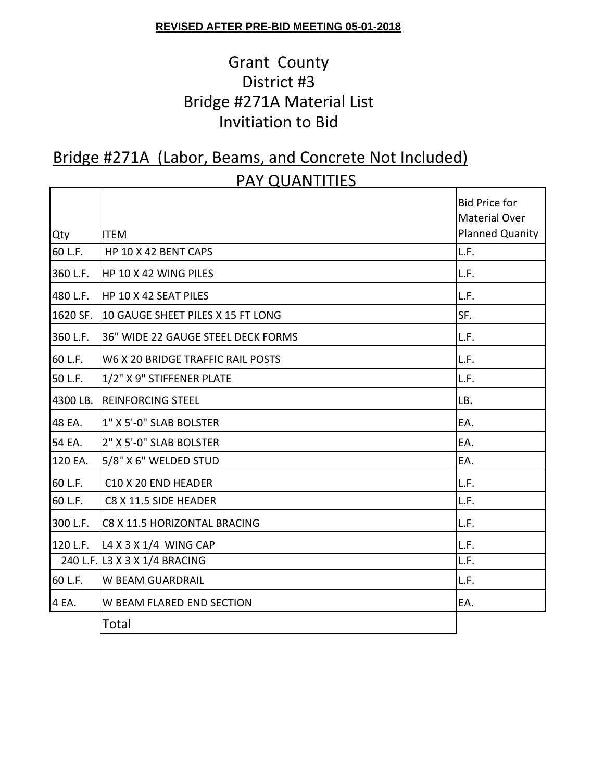#### **REVISED AFTER PRE-BID MEETING 05-01-2018**

## Grant County District #3 Bridge #271A Material List Invitiation to Bid

### Bridge #271A (Labor, Beams, and Concrete Not Included) PAY QUANTITIES

| Qty      | <b>ITEM</b>                        | <b>Bid Price for</b><br><b>Material Over</b><br><b>Planned Quanity</b> |
|----------|------------------------------------|------------------------------------------------------------------------|
| 60 L.F.  | HP 10 X 42 BENT CAPS               | L.F.                                                                   |
| 360 L.F. | HP 10 X 42 WING PILES              | L.F.                                                                   |
| 480 L.F. | HP 10 X 42 SEAT PILES              | L.F.                                                                   |
| 1620 SF. | 10 GAUGE SHEET PILES X 15 FT LONG  | SF.                                                                    |
| 360 L.F. | 36" WIDE 22 GAUGE STEEL DECK FORMS | L.F.                                                                   |
| 60 L.F.  | W6 X 20 BRIDGE TRAFFIC RAIL POSTS  | L.F.                                                                   |
| 50 L.F.  | 1/2" X 9" STIFFENER PLATE          | L.F.                                                                   |
| 4300 LB. | <b>REINFORCING STEEL</b>           | LB.                                                                    |
| 48 EA.   | 1" X 5'-0" SLAB BOLSTER            | EA.                                                                    |
| 54 EA.   | 2" X 5'-0" SLAB BOLSTER            | EA.                                                                    |
| 120 EA.  | 5/8" X 6" WELDED STUD              | EA.                                                                    |
| 60 L.F.  | C10 X 20 END HEADER                | L.F.                                                                   |
| 60 L.F.  | C8 X 11.5 SIDE HEADER              | L.F.                                                                   |
| 300 L.F. | C8 X 11.5 HORIZONTAL BRACING       | L.F.                                                                   |
| 120 L.F. | L4 X 3 X 1/4 WING CAP              | L.F.                                                                   |
|          | 240 L.F. L3 X 3 X 1/4 BRACING      | L.F.                                                                   |
| 60 L.F.  | W BEAM GUARDRAIL                   | L.F.                                                                   |
| 4 EA.    | W BEAM FLARED END SECTION          | EA.                                                                    |
|          | Total                              |                                                                        |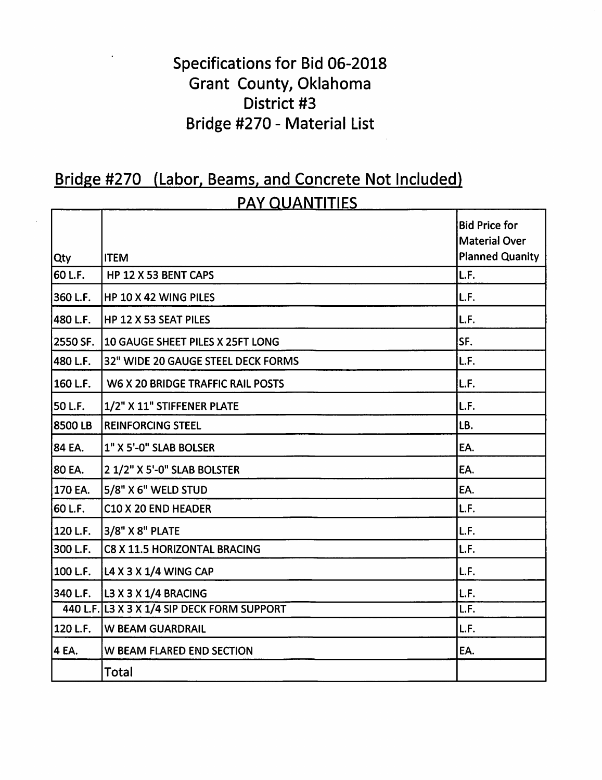## Specifications for Bid 06-2018 Grant County, Oklahoma District #3 Bridge #270 - Material List

# Bridge #270 (Labor, Beams, and Concrete Not Included)

|            | <u>PAY QUANTITIES</u>                       |                                                                        |  |  |  |
|------------|---------------------------------------------|------------------------------------------------------------------------|--|--|--|
| <b>Qty</b> | <b>ITEM</b>                                 | <b>Bid Price for</b><br><b>Material Over</b><br><b>Planned Quanity</b> |  |  |  |
| 60 L.F.    | HP 12 X 53 BENT CAPS                        | L.F.                                                                   |  |  |  |
| 360 L.F.   | HP 10 X 42 WING PILES                       | L.F.                                                                   |  |  |  |
| 480 L.F.   | HP 12 X 53 SEAT PILES                       | L.F.                                                                   |  |  |  |
| l2550 SF.  | 10 GAUGE SHEET PILES X 25FT LONG            | SF.                                                                    |  |  |  |
| 480 L.F.   | 32" WIDE 20 GAUGE STEEL DECK FORMS          | L.F.                                                                   |  |  |  |
| 160 L.F.   | W6 X 20 BRIDGE TRAFFIC RAIL POSTS           | L.F.                                                                   |  |  |  |
| 50 L.F.    | 1/2" X 11" STIFFENER PLATE                  | L.F.                                                                   |  |  |  |
| 18500 LB   | <b>REINFORCING STEEL</b>                    | LB.                                                                    |  |  |  |
| 84 EA.     | 1" X 5'-0" SLAB BOLSER                      | EA.                                                                    |  |  |  |
| 80 EA.     | 2 1/2" X 5'-0" SLAB BOLSTER                 | EA.                                                                    |  |  |  |
| 170 EA.    | 5/8" X 6" WELD STUD                         | EA.                                                                    |  |  |  |
| 60 L.F.    | C10 X 20 END HEADER                         | L.F.                                                                   |  |  |  |
| 120 L.F.   | 3/8" X 8" PLATE                             | L.F.                                                                   |  |  |  |
| 300 L.F.   | <b>C8 X 11.5 HORIZONTAL BRACING</b>         | L.F.                                                                   |  |  |  |
| 100 L.F.   | L4 X 3 X 1/4 WING CAP                       | L.F.                                                                   |  |  |  |
| 340 L.F.   | L3 X 3 X 1/4 BRACING                        | L.F.                                                                   |  |  |  |
|            | 440 L.F. L3 X 3 X 1/4 SIP DECK FORM SUPPORT | L.F.                                                                   |  |  |  |
| 120 L.F.   | <b>W BEAM GUARDRAIL</b>                     | L.F.                                                                   |  |  |  |
| 4 EA.      | <b>W BEAM FLARED END SECTION</b>            | EA.                                                                    |  |  |  |
|            | <b>Total</b>                                |                                                                        |  |  |  |